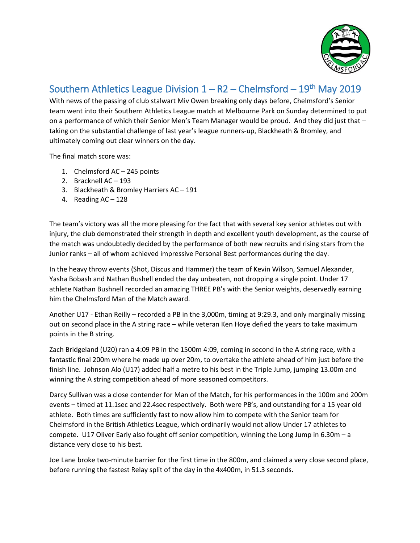

## Southern Athletics League Division  $1 - R2 - C$ helmsford – 19<sup>th</sup> May 2019

With news of the passing of club stalwart Miv Owen breaking only days before, Chelmsford's Senior team went into their Southern Athletics League match at Melbourne Park on Sunday determined to put on a performance of which their Senior Men's Team Manager would be proud. And they did just that – taking on the substantial challenge of last year's league runners-up, Blackheath & Bromley, and ultimately coming out clear winners on the day.

The final match score was:

- 1. Chelmsford AC 245 points
- 2. Bracknell AC 193
- 3. Blackheath & Bromley Harriers AC 191
- 4. Reading AC 128

The team's victory was all the more pleasing for the fact that with several key senior athletes out with injury, the club demonstrated their strength in depth and excellent youth development, as the course of the match was undoubtedly decided by the performance of both new recruits and rising stars from the Junior ranks – all of whom achieved impressive Personal Best performances during the day.

In the heavy throw events (Shot, Discus and Hammer) the team of Kevin Wilson, Samuel Alexander, Yasha Bobash and Nathan Bushell ended the day unbeaten, not dropping a single point. Under 17 athlete Nathan Bushnell recorded an amazing THREE PB's with the Senior weights, deservedly earning him the Chelmsford Man of the Match award.

Another U17 - Ethan Reilly – recorded a PB in the 3,000m, timing at 9:29.3, and only marginally missing out on second place in the A string race – while veteran Ken Hoye defied the years to take maximum points in the B string.

Zach Bridgeland (U20) ran a 4:09 PB in the 1500m 4:09, coming in second in the A string race, with a fantastic final 200m where he made up over 20m, to overtake the athlete ahead of him just before the finish line. Johnson Alo (U17) added half a metre to his best in the Triple Jump, jumping 13.00m and winning the A string competition ahead of more seasoned competitors.

Darcy Sullivan was a close contender for Man of the Match, for his performances in the 100m and 200m events – timed at 11.1sec and 22.4sec respectively. Both were PB's, and outstanding for a 15 year old athlete. Both times are sufficiently fast to now allow him to compete with the Senior team for Chelmsford in the British Athletics League, which ordinarily would not allow Under 17 athletes to compete. U17 Oliver Early also fought off senior competition, winning the Long Jump in 6.30m – a distance very close to his best.

Joe Lane broke two-minute barrier for the first time in the 800m, and claimed a very close second place, before running the fastest Relay split of the day in the 4x400m, in 51.3 seconds.